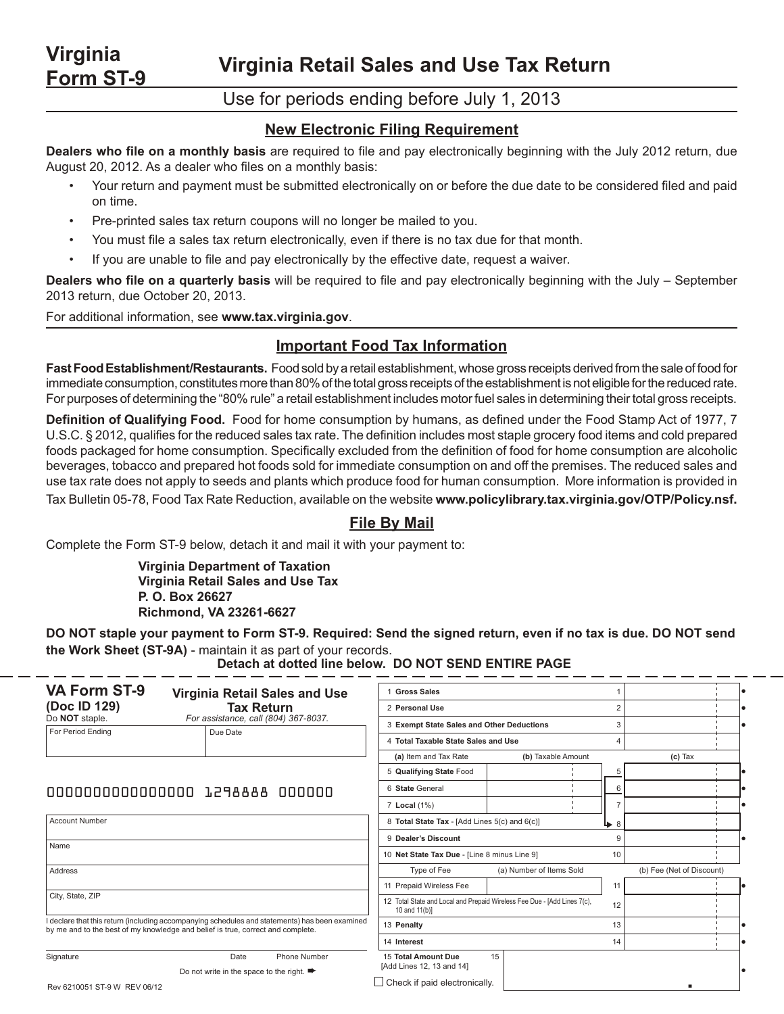**Virginia Retail Sales and Use Tax Return**

## Use for periods ending before July 1, 2013

#### **New Electronic Filing Requirement**

**Dealers who file on a monthly basis** are required to file and pay electronically beginning with the July 2012 return, due August 20, 2012. As a dealer who files on a monthly basis:

- Your return and payment must be submitted electronically on or before the due date to be considered filed and paid on time.
- Pre-printed sales tax return coupons will no longer be mailed to you.
- You must file a sales tax return electronically, even if there is no tax due for that month.
- • If you are unable to file and pay electronically by the effective date, request a waiver.

**Dealers who file on a quarterly basis** will be required to file and pay electronically beginning with the July – September 2013 return, due October 20, 2013.

For additional information, see **www.tax.virginia.gov**.

**Virginia Form ST-9**

### **Important Food Tax Information**

**Fast Food Establishment/Restaurants.** Food sold by a retail establishment, whose gross receipts derived from the sale of food for immediate consumption, constitutes more than 80% of the total gross receipts of the establishment is not eligible for the reduced rate. For purposes of determining the "80% rule" a retail establishment includes motor fuel sales in determining their total gross receipts.

**Definition of Qualifying Food.** Food for home consumption by humans, as defined under the Food Stamp Act of 1977, 7 U.S.C. § 2012, qualifies for the reduced sales tax rate. The definition includes most staple grocery food items and cold prepared foods packaged for home consumption. Specifically excluded from the definition of food for home consumption are alcoholic beverages, tobacco and prepared hot foods sold for immediate consumption on and off the premises. The reduced sales and use tax rate does not apply to seeds and plants which produce food for human consumption. More information is provided in

Tax Bulletin 05-78, Food Tax Rate Reduction, available on the website **www.policylibrary.tax.virginia.gov/OTP/Policy.nsf.**

### **File By Mail**

Complete the Form ST-9 below, detach it and mail it with your payment to:

 **Virginia Department of Taxation Virginia Retail Sales and Use Tax P. O. Box 26627 Richmond, VA 23261-6627**

**DO NOT staple your payment to Form ST-9. Required: Send the signed return, even if no tax is due. DO NOT send the Work Sheet (ST-9A)** - maintain it as part of your records.

| <b>VA Form ST-9</b>                                                                                                                                                               | Virginia Retail Sales and Use                                 | <b>Gross Sales</b>                                                                              |                          |                           |
|-----------------------------------------------------------------------------------------------------------------------------------------------------------------------------------|---------------------------------------------------------------|-------------------------------------------------------------------------------------------------|--------------------------|---------------------------|
| (Doc ID 129)                                                                                                                                                                      | <b>Tax Return</b>                                             | 2 Personal Use                                                                                  | $\overline{2}$           |                           |
| Do NOT staple.<br>For Period Ending                                                                                                                                               | For assistance, call (804) 367-8037.<br>Due Date              | 3 Exempt State Sales and Other Deductions                                                       | 3                        |                           |
|                                                                                                                                                                                   |                                                               | 4 Total Taxable State Sales and Use                                                             |                          | Δ                         |
|                                                                                                                                                                                   |                                                               | (a) Item and Tax Rate                                                                           | (b) Taxable Amount       | $(c)$ Tax                 |
|                                                                                                                                                                                   |                                                               | 5 Qualifying State Food                                                                         |                          |                           |
| 00000000000000000 1298888 000000                                                                                                                                                  |                                                               | 6 State General                                                                                 | 6                        |                           |
|                                                                                                                                                                                   |                                                               | 7 Local (1%)                                                                                    |                          |                           |
| <b>Account Number</b>                                                                                                                                                             |                                                               | 8 Total State Tax - [Add Lines 5(c) and 6(c)]                                                   | 8<br>⊾                   |                           |
|                                                                                                                                                                                   |                                                               | 9 Dealer's Discount                                                                             | g                        |                           |
| Name                                                                                                                                                                              |                                                               | 10 Net State Tax Due - [Line 8 minus Line 9]<br>10                                              |                          |                           |
| Address                                                                                                                                                                           |                                                               | Type of Fee                                                                                     | (a) Number of Items Sold | (b) Fee (Net of Discount) |
|                                                                                                                                                                                   |                                                               | 11 Prepaid Wireless Fee                                                                         | 11                       |                           |
| City, State, ZIP                                                                                                                                                                  |                                                               | 12 Total State and Local and Prepaid Wireless Fee Due - [Add Lines 7(c),<br>12<br>10 and 11(b)] |                          |                           |
| I declare that this return (including accompanying schedules and statements) has been examined<br>by me and to the best of my knowledge and belief is true, correct and complete. |                                                               | 13 Penalty                                                                                      | 13                       |                           |
|                                                                                                                                                                                   |                                                               | 14 Interest                                                                                     | 14                       |                           |
| Signature                                                                                                                                                                         | Date<br>Phone Number                                          | 15 Total Amount Due                                                                             | 15                       |                           |
|                                                                                                                                                                                   | Do not write in the space to the right. $\blacktriangleright$ | [Add Lines 12, 13 and 14]                                                                       |                          |                           |
| Rev 6210051 ST-9 W REV 06/12                                                                                                                                                      |                                                               | $\Box$ Check if paid electronically.                                                            |                          |                           |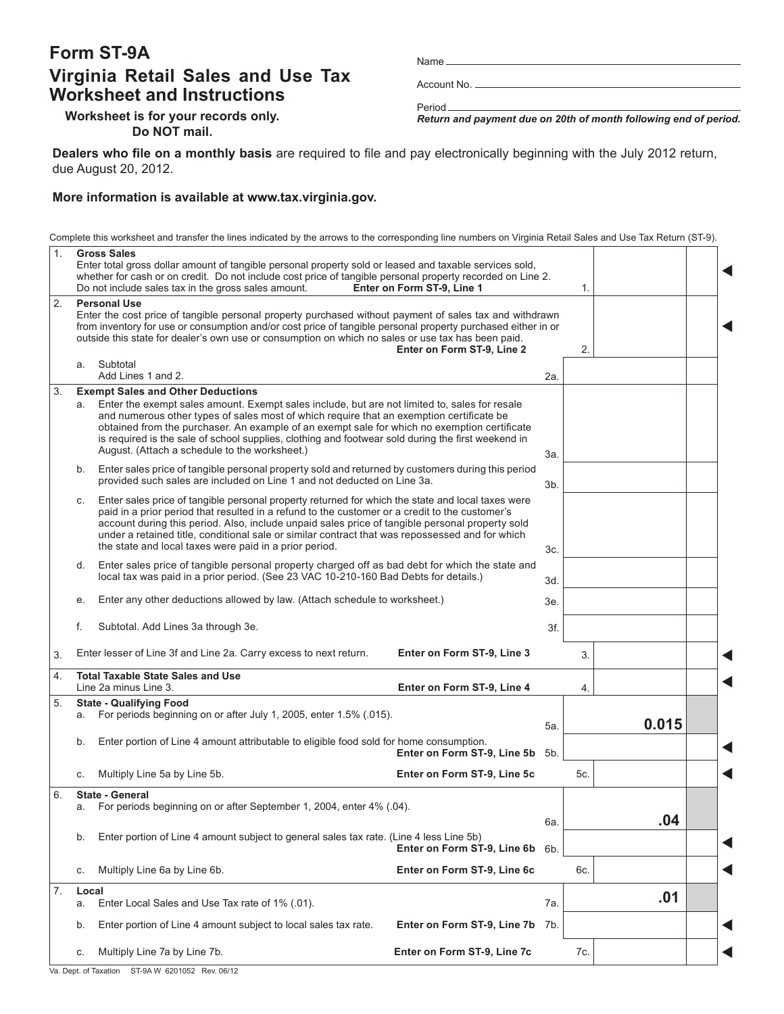# **Form ST-9A Virginia Retail Sales and Use Tax Worksheet and Instructions**

Name

Account No.

Period *Return and payment due on 20th of month following end of period.*

**Worksheet is for your records only. Do NOT mail.**

**Dealers who file on a monthly basis** are required to file and pay electronically beginning with the July 2012 return, due August 20, 2012.

#### **More information is available at www.tax.virginia.gov.**

Complete this worksheet and transfer the lines indicated by the arrows to the corresponding line numbers on Virginia Retail Sales and Use Tax Return (ST-9).

| 1. |                                                                                                                                                                                                                                                                                                                                                                                                                                                                           | <b>Gross Sales</b><br>Enter total gross dollar amount of tangible personal property sold or leased and taxable services sold,<br>whether for cash or on credit. Do not include cost price of tangible personal property recorded on Line 2.<br>Do not include sales tax in the gross sales amount.                                                                                                                                                                                           | Enter on Form ST-9, Line 1      |     | 1.  |       |  |
|----|---------------------------------------------------------------------------------------------------------------------------------------------------------------------------------------------------------------------------------------------------------------------------------------------------------------------------------------------------------------------------------------------------------------------------------------------------------------------------|----------------------------------------------------------------------------------------------------------------------------------------------------------------------------------------------------------------------------------------------------------------------------------------------------------------------------------------------------------------------------------------------------------------------------------------------------------------------------------------------|---------------------------------|-----|-----|-------|--|
| 2. | <b>Personal Use</b><br>Enter the cost price of tangible personal property purchased without payment of sales tax and withdrawn<br>from inventory for use or consumption and/or cost price of tangible personal property purchased either in or<br>outside this state for dealer's own use or consumption on which no sales or use tax has been paid.<br>Enter on Form ST-9, Line 2                                                                                        |                                                                                                                                                                                                                                                                                                                                                                                                                                                                                              |                                 |     | 2.  |       |  |
|    | a.                                                                                                                                                                                                                                                                                                                                                                                                                                                                        | Subtotal<br>Add Lines 1 and 2.                                                                                                                                                                                                                                                                                                                                                                                                                                                               |                                 | 2a. |     |       |  |
| 3. | а.                                                                                                                                                                                                                                                                                                                                                                                                                                                                        | <b>Exempt Sales and Other Deductions</b><br>Enter the exempt sales amount. Exempt sales include, but are not limited to, sales for resale<br>and numerous other types of sales most of which require that an exemption certificate be<br>obtained from the purchaser. An example of an exempt sale for which no exemption certificate<br>is required is the sale of school supplies, clothing and footwear sold during the first weekend in<br>August. (Attach a schedule to the worksheet.) |                                 | 3а. |     |       |  |
|    | Enter sales price of tangible personal property sold and returned by customers during this period<br>b.<br>provided such sales are included on Line 1 and not deducted on Line 3a.                                                                                                                                                                                                                                                                                        |                                                                                                                                                                                                                                                                                                                                                                                                                                                                                              |                                 | 3b. |     |       |  |
|    | Enter sales price of tangible personal property returned for which the state and local taxes were<br>C.<br>paid in a prior period that resulted in a refund to the customer or a credit to the customer's<br>account during this period. Also, include unpaid sales price of tangible personal property sold<br>under a retained title, conditional sale or similar contract that was repossessed and for which<br>the state and local taxes were paid in a prior period. |                                                                                                                                                                                                                                                                                                                                                                                                                                                                                              |                                 | 3c. |     |       |  |
|    | Enter sales price of tangible personal property charged off as bad debt for which the state and<br>d.<br>local tax was paid in a prior period. (See 23 VAC 10-210-160 Bad Debts for details.)                                                                                                                                                                                                                                                                             |                                                                                                                                                                                                                                                                                                                                                                                                                                                                                              |                                 |     |     |       |  |
|    | Enter any other deductions allowed by law. (Attach schedule to worksheet.)<br>е.                                                                                                                                                                                                                                                                                                                                                                                          |                                                                                                                                                                                                                                                                                                                                                                                                                                                                                              |                                 |     |     |       |  |
|    | Subtotal. Add Lines 3a through 3e.<br>f.                                                                                                                                                                                                                                                                                                                                                                                                                                  |                                                                                                                                                                                                                                                                                                                                                                                                                                                                                              |                                 |     |     |       |  |
| 3. |                                                                                                                                                                                                                                                                                                                                                                                                                                                                           | Enter lesser of Line 3f and Line 2a. Carry excess to next return.                                                                                                                                                                                                                                                                                                                                                                                                                            | Enter on Form ST-9, Line 3      |     | 3.  |       |  |
| 4. |                                                                                                                                                                                                                                                                                                                                                                                                                                                                           | <b>Total Taxable State Sales and Use</b><br>Line 2a minus Line 3.                                                                                                                                                                                                                                                                                                                                                                                                                            | Enter on Form ST-9, Line 4      |     | 4.  |       |  |
| 5. | а.                                                                                                                                                                                                                                                                                                                                                                                                                                                                        | <b>State - Qualifying Food</b><br>For periods beginning on or after July 1, 2005, enter 1.5% (.015).                                                                                                                                                                                                                                                                                                                                                                                         |                                 | 5a. |     | 0.015 |  |
|    | b.                                                                                                                                                                                                                                                                                                                                                                                                                                                                        | Enter portion of Line 4 amount attributable to eligible food sold for home consumption.                                                                                                                                                                                                                                                                                                                                                                                                      | Enter on Form ST-9, Line 5b     | 5b. |     |       |  |
|    | C.                                                                                                                                                                                                                                                                                                                                                                                                                                                                        | Multiply Line 5a by Line 5b.                                                                                                                                                                                                                                                                                                                                                                                                                                                                 | Enter on Form ST-9, Line 5c     |     | 5c. |       |  |
| 6. | а.                                                                                                                                                                                                                                                                                                                                                                                                                                                                        | <b>State - General</b><br>For periods beginning on or after September 1, 2004, enter 4% (.04).                                                                                                                                                                                                                                                                                                                                                                                               |                                 | 6а. |     | .04   |  |
|    | b.                                                                                                                                                                                                                                                                                                                                                                                                                                                                        | Enter portion of Line 4 amount subject to general sales tax rate. (Line 4 less Line 5b)                                                                                                                                                                                                                                                                                                                                                                                                      | Enter on Form ST-9, Line 6b 6b. |     |     |       |  |
|    | С.                                                                                                                                                                                                                                                                                                                                                                                                                                                                        | Multiply Line 6a by Line 6b.                                                                                                                                                                                                                                                                                                                                                                                                                                                                 | Enter on Form ST-9, Line 6c     |     | 6c. |       |  |
| 7. | Local<br>a.                                                                                                                                                                                                                                                                                                                                                                                                                                                               | Enter Local Sales and Use Tax rate of 1% (.01).                                                                                                                                                                                                                                                                                                                                                                                                                                              |                                 | 7а. |     | .01   |  |
|    | b.                                                                                                                                                                                                                                                                                                                                                                                                                                                                        | Enter portion of Line 4 amount subject to local sales tax rate.                                                                                                                                                                                                                                                                                                                                                                                                                              | Enter on Form ST-9, Line 7b     | 7b. |     |       |  |
|    | C.                                                                                                                                                                                                                                                                                                                                                                                                                                                                        | Multiply Line 7a by Line 7b.                                                                                                                                                                                                                                                                                                                                                                                                                                                                 | Enter on Form ST-9, Line 7c     |     | 7c. |       |  |